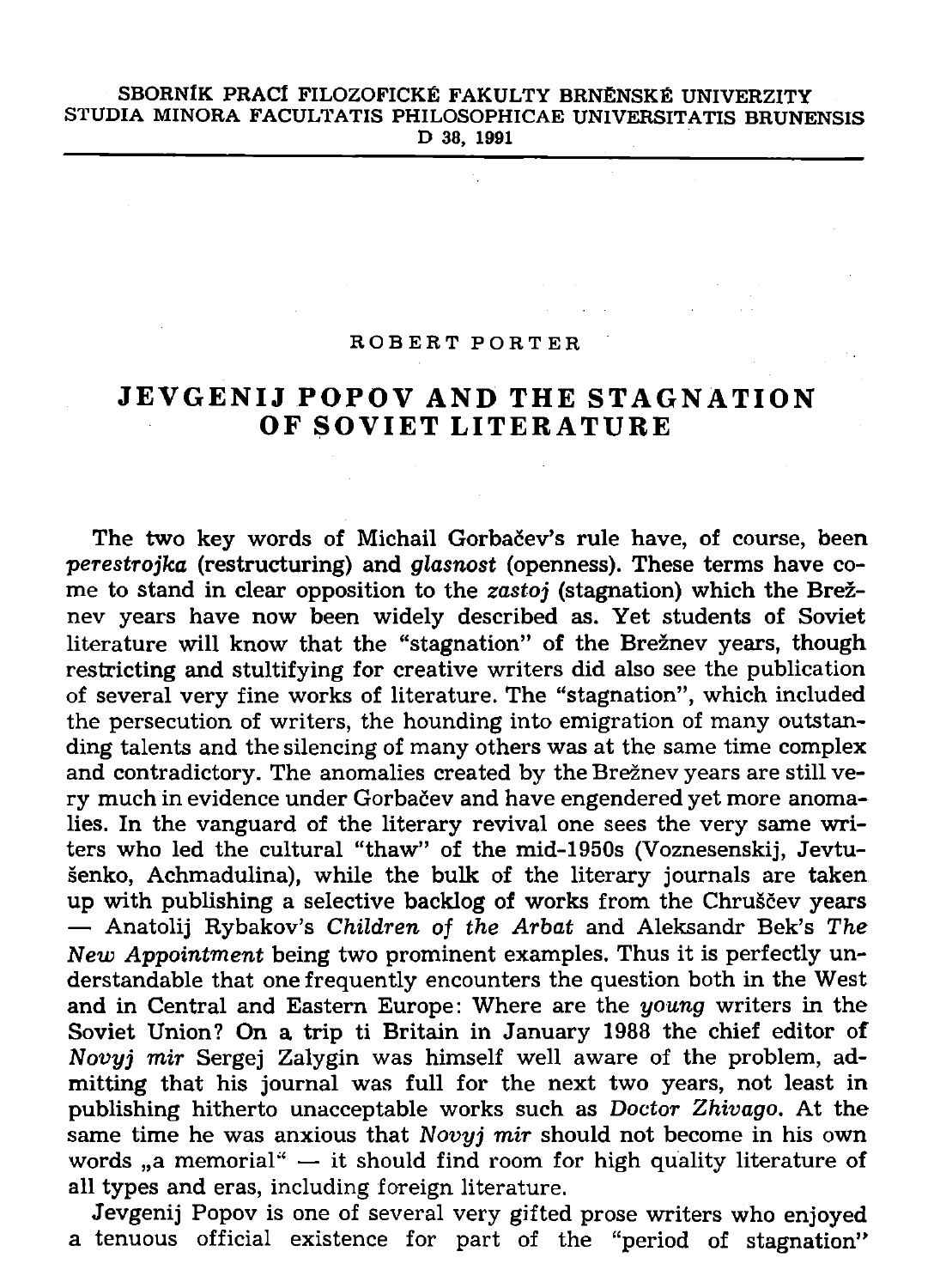## **SBORNÍK PRACÍ FILOZOFICKÉ FAKULTY BRNĚNSKÉ UNIVERZITY STUDIA MINORA FACULTATIS PHILOSOPHICAE UNIVERSITATIS BRUNENSIS D 38, 1991**

## **ROBER T PORTE R**

## **JEVGENIJ POPOV AND THE STAGNATION O F SOVIE T LITERATUR E**

The two key words of Michail Gorbačev's rule have, of course, been *•perestrojka* **(restructuring) and** *glasnost* **(openness). These terms have come to stand in clear opposition to the** *zastoj* **(stagnation) which the Breznev years have now been widely described as. Yet students of Soviet literature will know that the "stagnation" of the Breznev years, though restricting and stultifying for creative writers did also see the publication of several very fine works of literature. The "stagnation", which included the persecution of writers, the hounding into emigration of many outstanding talents and the silencing of many others was at the same time complex and contradictory. The anomalies created by the Breznev years are still ve**ry much in evidence under Gorbačev and have engendered yet more anoma**lies. In the vanguard of the literary revival one sees the very same writers who led the cultural "thaw" of the mid-1950s (Voznesenskij, Jevtusenko, Achmadulina), while the bulk of the literary journals are taken**  up with publishing a selective backlog of works from the Chruščev years **— Anatolij Rybakov's** *Children of the Arbat* **and Aleksandr Bek's** *The New Appointment* **being two prominent examples. Thus it is perfectly understandable that one frequently encounters the question both in the West and in Central and Eastern Europe: Where are the** *young* **writers in the Soviet Union? On a trip ti Britain in January 1988 the chief editor of**  *Novyj mir* **Sergej Zalygin was himself well aware of the problem, admitting that his journal was full for the next two years, not least in publishing hitherto unacceptable works such as** *Doctor Zhivago.* **At the same time he was anxious that** *Novyj mir* **should not become in his own**  words "a memorial" — it should find room for high quality literature of **all types and eras, including foreign literature.** 

**Jevgenij Popov is one of several very gifted prose writers who enjoyed a tenuous official existence for part of the "period of stagnation"**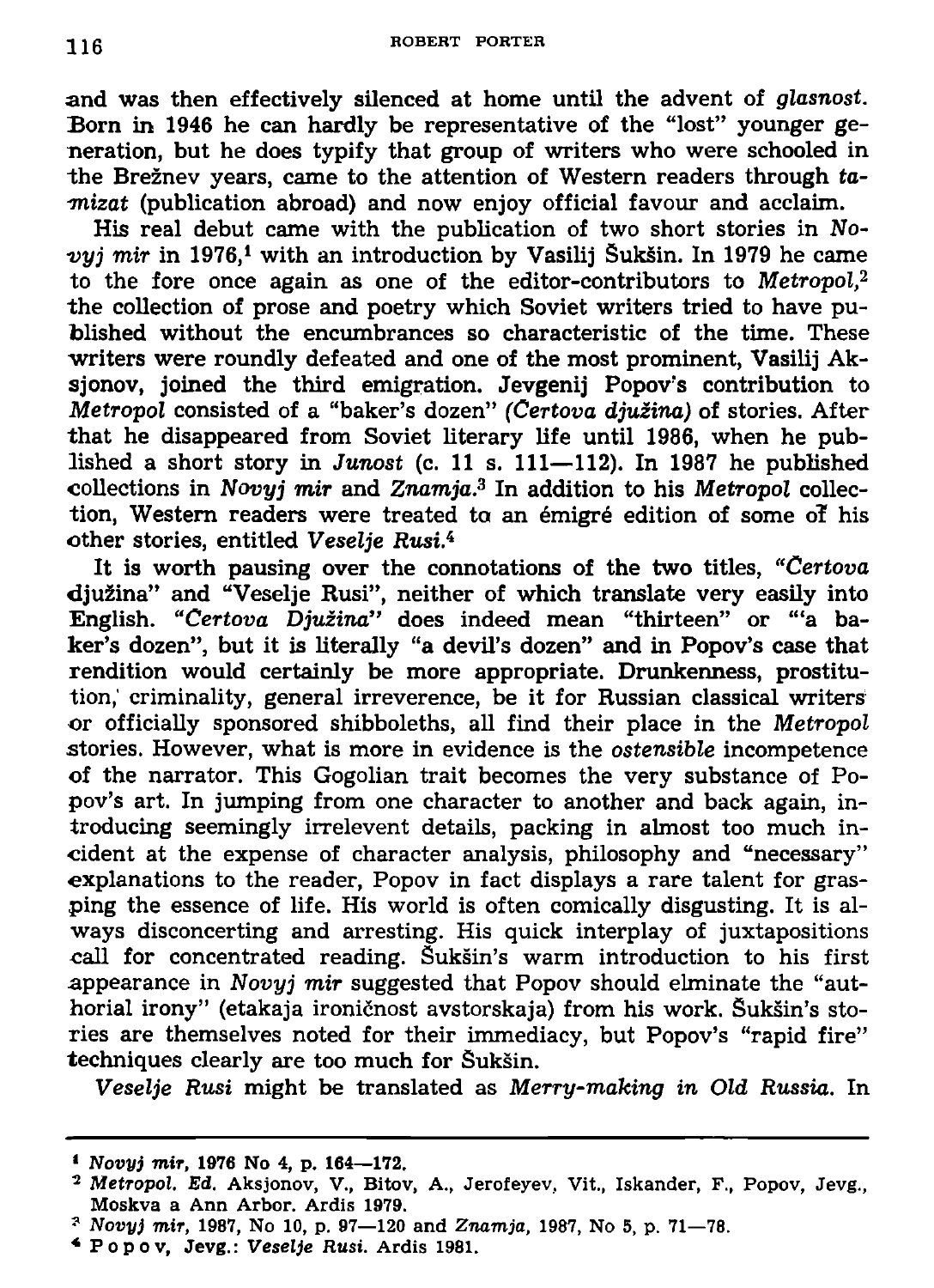**and was then effectively silenced at home until the advent of** *glasnost.*  **Born in 1946 he can hardly be representative of the "lost" younger generation, but he does typify that group of writers who were schooled in the Breznev years, came to the attention of Western readers through** *ta- •mizat* **(publication abroad) and now enjoy official favour and acclaim.** 

**His real debut came with the publication of two short stories in** *No*vyj mir in 1976,<sup>1</sup> with an introduction by Vasilij Šukšin. In 1979 he came **to the fore once again as one of the editor-contributors to** *Metropol,<sup>2</sup>* **the collection of prose and poetry which Soviet writers tried to have published without the encumbrances so characteristic of the time. These writers were roundly defeated and one of the most prominent, Vasilij Aksjonov, joined the third emigration. Jevgenij Popov's contribution to**  *Metropol* **consisted of a "baker's dozen"** *(Certova djuiina)* **of stories. After that he disappeared from Soviet literary life until 1986, when he published a short story in** *Junost* **(c. 11 s. Ill—112). In 1987 he published collections in** *Novyj mir* **and** *Znamja.<sup>3</sup>*  **In addition to his** *Metropol* **collection, Western readers were treated ta an emigre edition of some of his other stories, entitled** *Veselje* **flusi.<sup>4</sup>**

**It is worth pausing over the connotations of the two titles,** *"Certova*  **djuzina" and "Veselje Rusi", neither of which translate very easily into English.** *"Certova Djuzina"* **does indeed mean "thirteen" or '"a baker's dozen", but it is literally "a devil's dozen" and in Popov's case that rendition would certainly be more appropriate. Drunkenness, prostitution,' criminality, general irreverence, be it for Russian classical writers or officially sponsored shibboleths, all find their place in the** *Metropol*  **stories. However, what is more in evidence is the** *ostensible* **incompetence of the narrator. This Gogolian trait becomes the very substance of Po**pov's art. In jumping from one character to another and back again, in**troducing seemingly irrelevent details, packing in almost too much incident at the expense of character analysis, philosophy and "necessary" explanations to the reader, Popov in fact displays a rare talent for grasping the essence of life. His world is often comically disgusting. It is always disconcerting and arresting. His quick interplay of juxtapositions call for concentrated reading. Suksin's warm introduction to his first appearance in** *Novyj mir* **suggested that Popov should elminate the "authorial irony" (etakaja ironicnost avstorskaja) from his work. Suksin's stories are themselves noted for their immediacy, but Popov's "rapid fire" techniques clearly are too much for Suksin.** 

*Veselje Rusi* **might be translated as** *Merry-making in Old Russia.* **In** 

*<sup>1</sup> Novyj mir,* **1976 No 4, p. 164—172.** 

<sup>&</sup>lt;sup>2</sup> Metropol. Ed. Aksjonov, V., Bitov, A., Jerofeyev, Vit., Iskander, F., Popov, Jevg., **Moskva a Ann Arbor. Ardis 1979.** 

*<sup>?</sup> Novyj mir,* **1987, No 10, p. 97—120 and** *Znamja,* **1987, No 5, p. 71—78.** 

**<sup>\*</sup> Popov , Jevg.:** *Veselje Rusi.* **Ardis 1981.**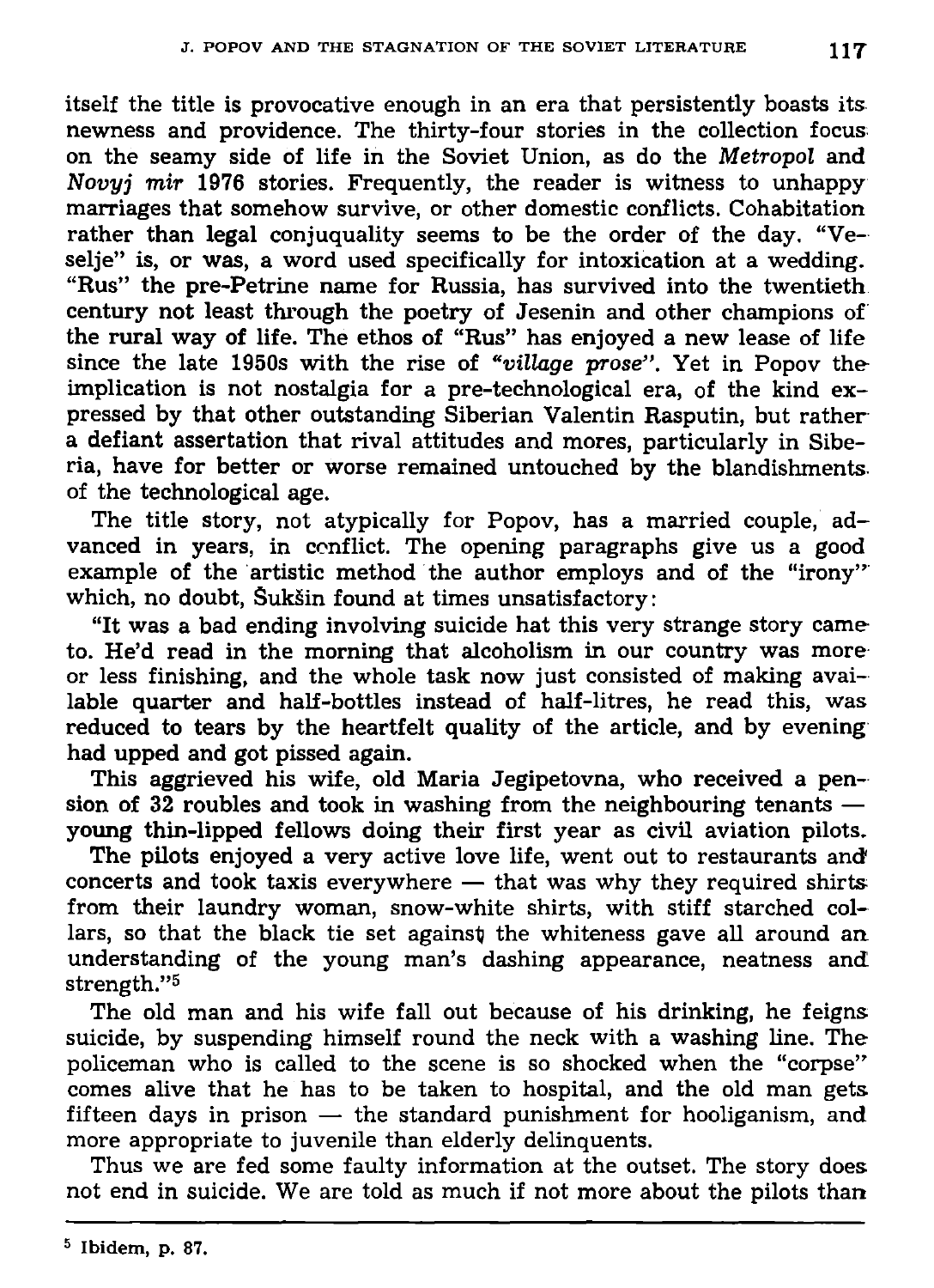**itself the title is provocative enough in an era that persistently boasts its newness and providence. The thirty-four stories in the collection focus on the seamy side of life in the Soviet Union, as do the** *Metropol* **and**  *Novyj mir* **1976 stories. Frequently, the reader is witness to unhappy marriages that somehow survive, or other domestic conflicts. Cohabitation rather than legal conjuquality seems to be the order of the day. "Veselje" is, or was, a word used specifically for intoxication at a wedding. "Rus" the pre-Petrine name for Russia, has survived into the twentieth century not least through the poetry of Jesenin and other champions of the rural way of life. The ethos of "Rus" has enjoyed a new lease of life since the late 1950s with the rise of** *"village prose".* **Yet in Popov the implication is not nostalgia for a pre-technological era, of the kind expressed by that other outstanding Siberian Valentin Rasputin, but rather a defiant assertation that rival attitudes and mores, particularly in Siberia, have for better or worse remained untouched by the blandishments, of the technological age.** 

**The title story, not atypically for Popov, has a married couple, advanced in years, in conflict. The opening paragraphs give us a good example of the artistic method the author employs and of the "irony"**  which, no doubt, Sukšin found at times unsatisfactory:

**"It was a bad ending involving suicide hat this very strange story came to. He'd read in the morning that alcoholism in our country was more or less finishing, and the whole task now just consisted of making available quarter and half-bottles instead of half-litres, he read this, was reduced to tears by the heartfelt quality of the article, and by evening had upped and got pissed again.** 

**This aggrieved his wife, old Maria Jegipetovna, who received a pension of 32 roubles and took in washing from the neighbouring tenants young thin-lipped fellows doing their first year as civil aviation pilots.** 

**The pilots enjoyed a very active love life, went out to restaurants and concerts and took taxis everywhere — that was why they required shirts from their laundry woman, snow-white shirts, with stiff starched col**lars, so that the black tie set against the whiteness gave all around an **understanding of the young man's dashing appearance, neatness and! strength."<sup>5</sup>**

**The old man and his wife fall out because of his drinking, he feigns suicide, by suspending himself round the neck with a washing line. The policeman who is called to the scene is so shocked when the "corpse" comes alive that he has to be taken to hospital, and the old man gets fifteen days in prison — the standard punishment for hooliganism, and more appropriate to juvenile than elderly delinquents.** 

**Thus we are fed some faulty information at the outset. The story does not end in suicide. We are told as much if not more about the pilots than**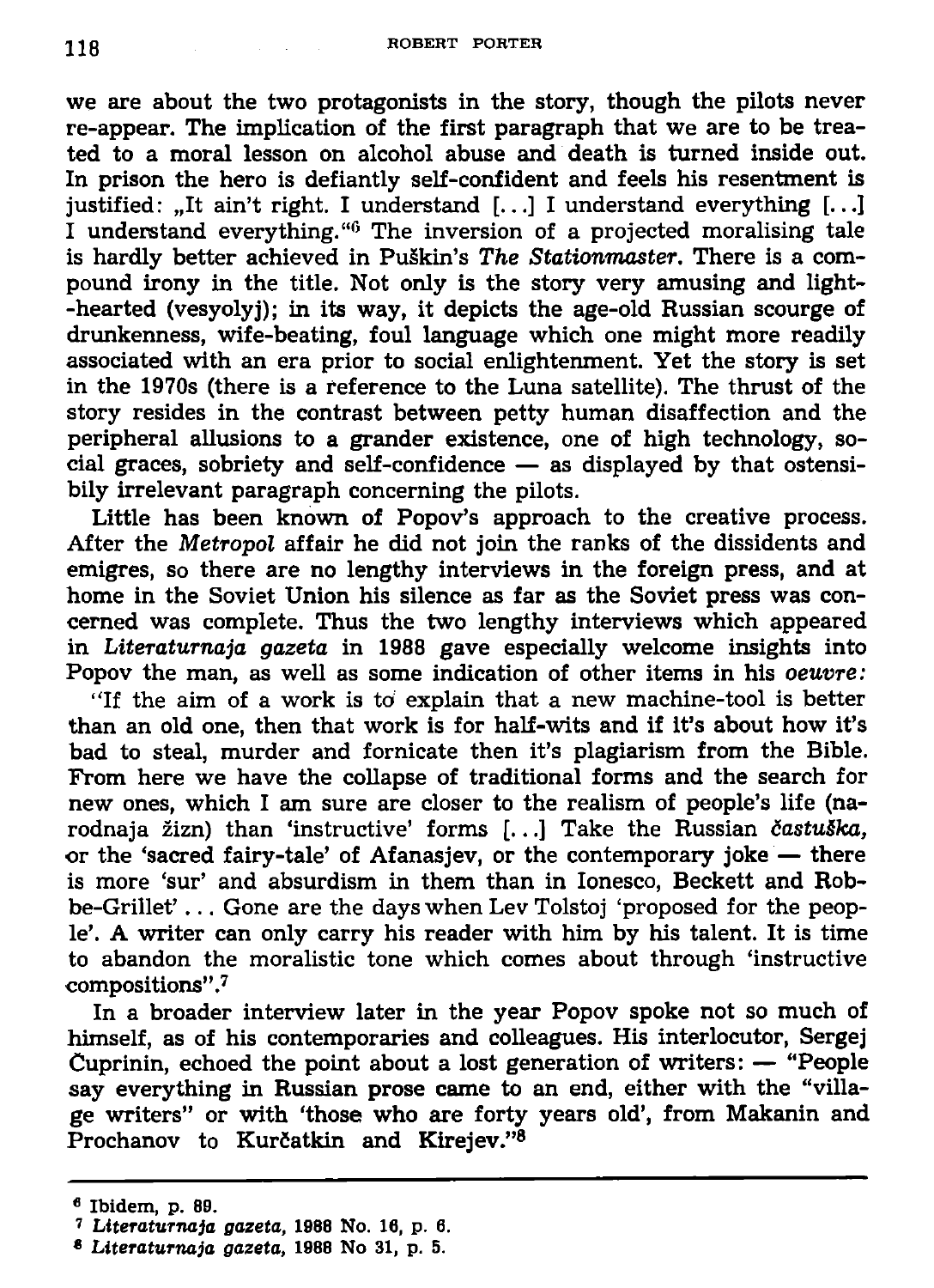**we are about the two protagonists in the story, though the pilots never re-appear. The implication of the first paragraph that we are to be treated to a moral lesson on alcohol abuse and death is turned inside out. In prison the hero is defiantly self-confident and feels his resentment is justified: "It ain't right. I understand [...] I understand everything [...] I understand everything."<sup>0</sup> The inversion of a projected moralising tale is hardly better achieved in Pu§kin's** *The Stationmaster.* **There is a compound irony in the title. Not only is the story very amusing and light- -hearted (vesyolyj); in its way, it depicts the age-old Russian scourge of drunkenness, wife-beating, foul language which one might more readily associated with an era prior to social enlightenment. Yet the story is set in the 1970s (there is a reference to the Luna satellite). The thrust of the story resides in the contrast between petty human disaffection and the peripheral allusions to a grander existence, one of high technology, social graces, sobriety and self-confidence — as displayed by that ostensibly irrelevant paragraph concerning the pilots.** 

**Little has been known of Popov's approach to the creative process. After the** *Metropol* **affair he did not join the ranks of the dissidents and emigres, so there are no lengthy interviews in the foreign press, and at home in the Soviet Union his silence as far as the Soviet press was concerned was complete. Thus the two lengthy interviews which appeared in** *Literaturnaja gazeta* **in 1988 gave especially welcome insights into Popov the man, as well as some indication of other items in his** *oeuvre:* 

**"If the aim of a work is to explain that a new machine-tool is better than an old one, then that work is for half-wits and if it's about how it's bad to steal, murder and fornicate then it's plagiarism from the Bible. From here we have the collapse of traditional forms and the search for new ones, which I am sure are closer to the realism of people's life (na**rodnaja žizn) than 'instructive' forms [...] Take the Russian častuška, **or the 'sacred fairy-tale' of Afanasjev, or the contemporary joke — there is more 'sur' and absurdism in them than in Ionesco, Beckett and Robbe-Grillet' .. . Gone are the days when Lev Tolstoj 'proposed for the people'. A writer can only carry his reader with him by his talent. It is time to abandon the moralistic tone which comes about through 'instructive compositions".<sup>7</sup>**

**In a broader interview later in the year Popov spoke not so much of himself, as of his contemporaries and colleagues. His interlocutor, Sergej Cuprinin, echoed the point about a lost generation of writers: — "People say everything in Russian prose came to an end, either with the "village writers" or with 'those who are forty years old', from Makanin and Prochanov to KurCatkin and Kirejev."<sup>8</sup>**

**<sup>€</sup> Ibidem, p. 89.** 

*<sup>7</sup> Literaturnaja gazeta,* **1988 No. 16, p. 6.** 

*<sup>\*</sup> Literaturnaja gazeta,* **1988 No 31, p. 5.**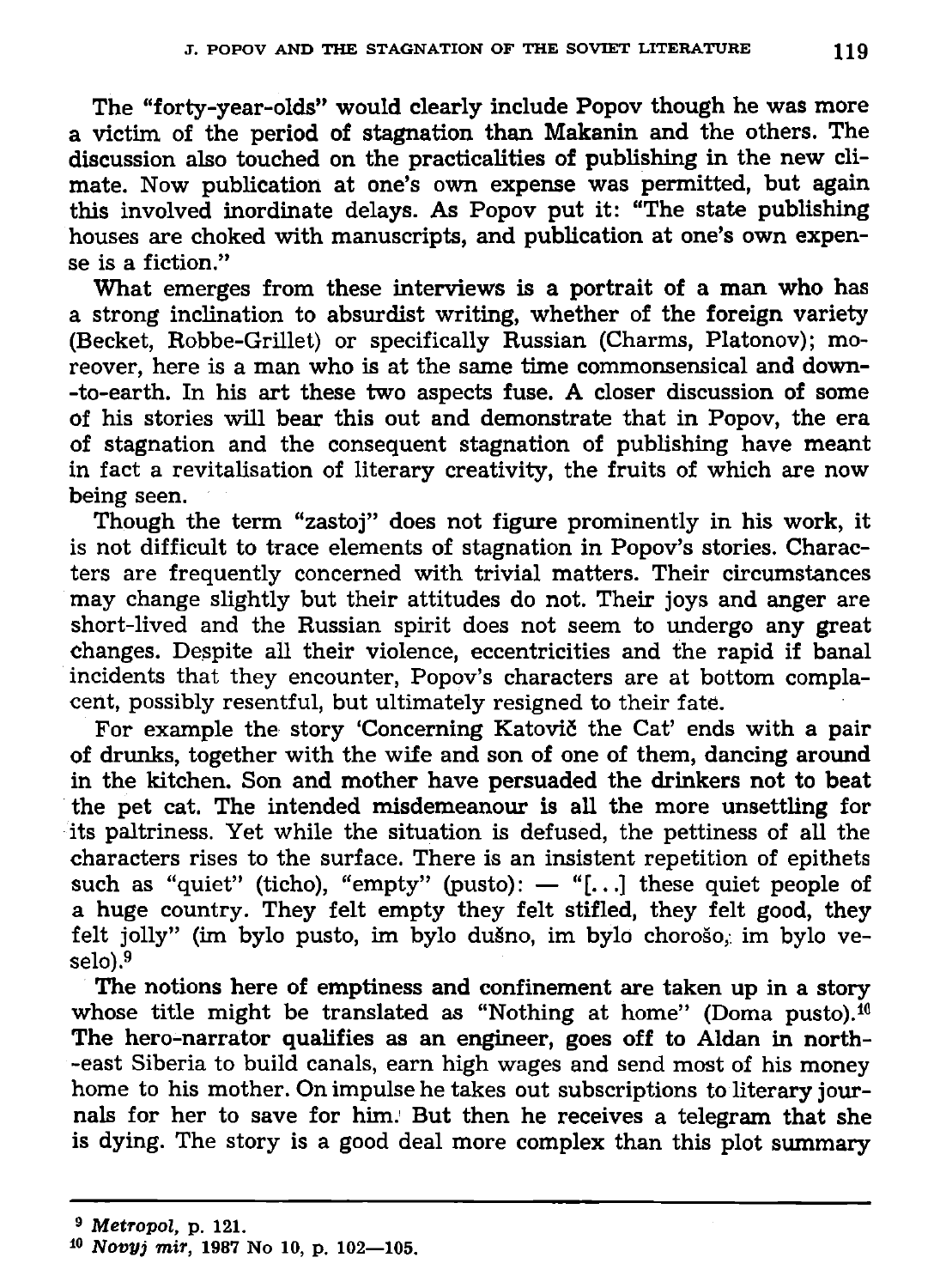**The "forty-year-olds" would clearly include Popov though he was more a victim of the period of stagnation than Makanin and the others. The discussion also touched on the practicalities of publishing in the new climate. Now publication at one's own expense was permitted, but again this involved inordinate delays. As Popov put it: "The state publishing houses are choked with manuscripts, and publication at one's own expense is a fiction."** 

**What emerges from these interviews is a portrait of a man who has a strong inclination to absurdist writing, whether of the foreign variety (Becket, Robbe-Grillet) or specifically Russian (Charms, Platonov); moreover, here is a man who is at the same time commonsensical and down- -to-earth. In his art these two aspects fuse. A closer discussion of some of his stories will bear this out and demonstrate that in Popov, the era of stagnation and the consequent stagnation of publishing have meant in fact a revitalisation of literary creativity, the fruits of which are now being seen.** 

**Though the term "zastoj" does not figure prominently in his work, it is not difficult to trace elements of stagnation in Popov's stories. Characters are frequently concerned with trivial matters. Their circumstances may change slightly but their attitudes do not. Their joys and anger are short-lived and the Russian spirit does not seem to undergo any great changes. Despite all their violence, eccentricities and the rapid if banal incidents that they encounter, Popov's characters are at bottom complacent, possibly resentful, but ultimately resigned to their fate.** 

For example the story 'Concerning Katovič the Cat' ends with a pair **of drunks, together with the wife and son of one of them, dancing around in the kitchen. Son and mother have persuaded the drinkers not to beat the pet cat. The intended misdemeanour is all the more unsettling for its paltriness. Yet while the situation is defused, the pettiness of all the characters rises to the surface. There is an insistent repetition of epithets such as "quiet" (ticho), "empty" (pusto): — "[...] these quiet people of a huge country. They felt empty they felt stifled, they felt good, they felt jolly" (im bylo pusto, im bylo dusno, im bylo choroso, im bylo veselo).<sup>9</sup>**

**The notions here of emptiness and confinement are taken up in a story whose title might be translated as "Nothing at home" (Doma pusto).<sup>10</sup> The hero-narrator qualifies as an engineer, goes off to Aldan in northeast Siberia to build canals, earn high wages and send most of his money home to his mother. On impulse he takes out subscriptions to literary journals for her to save for him.<sup>1</sup> But then he receives a telegram that she is dying. The story is a good deal more complex than this plot summary** 

**<sup>10</sup>** *Novyj mir,* **1987 No 10, p. 102—105.**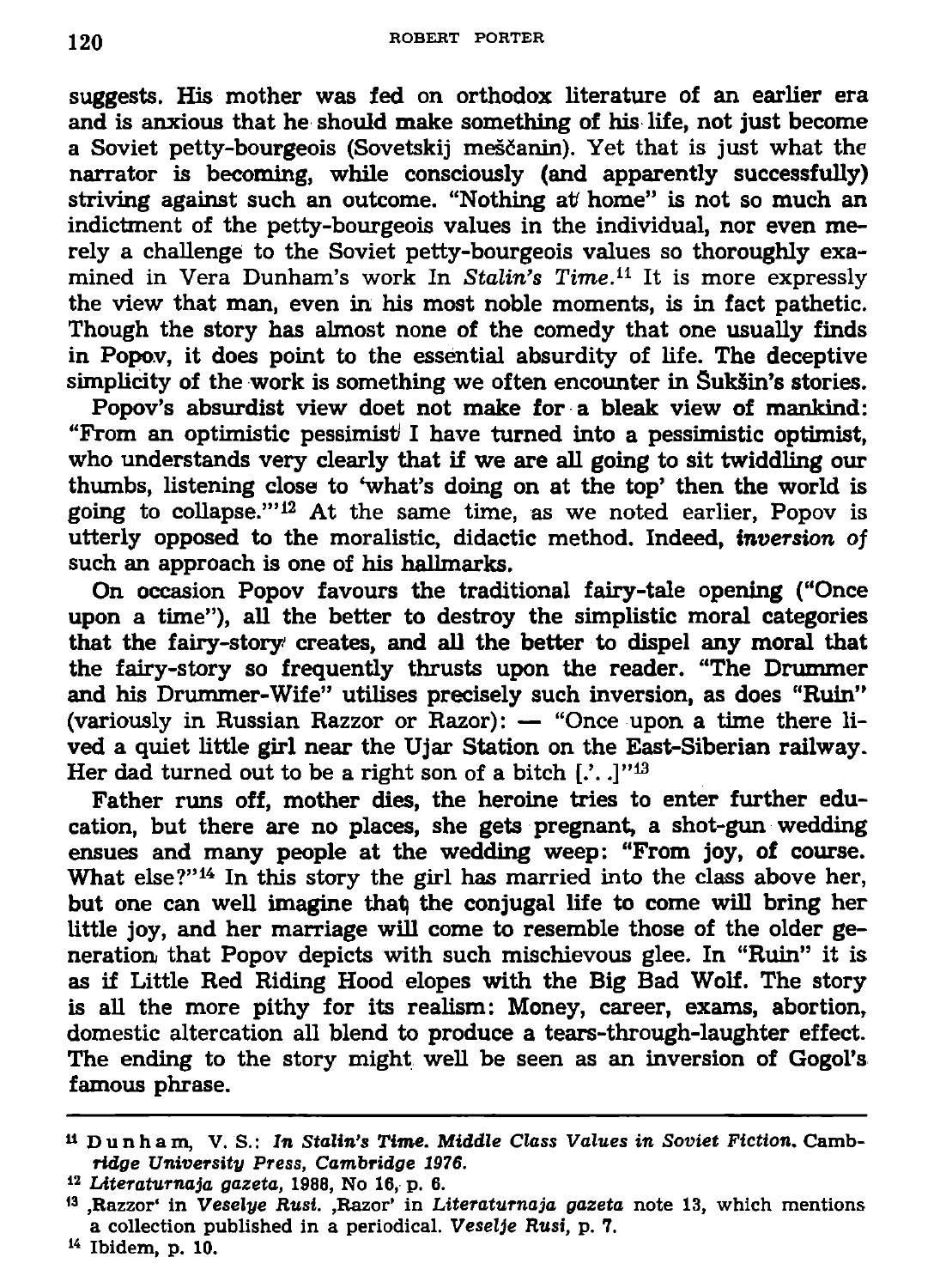**120 ROBERT PORTER** 

**suggests. His mother was fed on orthodox literature of an earlier era and is anxious that he should make something of his life, not just become a Soviet petty-bourgeois (Sovetskij mesfianin). Yet that is just what the narrator is becoming, while consciously (and apparently successfully) striving against such an outcome. "Nothing at home" is not so much an indictment of the petty-bourgeois values in the individual, nor even merely a challenge to the Soviet petty-bourgeois values so thoroughly examined in Vera Dunham's work In** *Stalin's Time.11* **It is more expressly the view that man, even in his most noble moments, is in fact pathetic. Though the story has almost none of the comedy that one usually finds in Popov, it does point to the essential absurdity of life. The deceptive simplicity of the work is something we often encounter in Suksin's stories.** 

**Popov's absurdist view doet not make for a bleak view of mankind: "From an optimistic pessimist! I have turned into a pessimistic optimist, who understands very clearly that if we are all going to sit twiddling our thumbs, listening close to 'what's doing on at the top' then the world is going to collapse.'"<sup>12</sup> At the same time, as we noted earlier, Popov is utterly opposed to the moralistic, didactic method. Indeed,** *inversion of*  **such an approach is one of his hallmarks.** 

**On occasion Popov favours the traditional fairy-tale opening ("Once upon a time"), all the better to destroy the simplistic moral categories that the fairy-story creates, and all the better to dispel any moral that the fairy-story so frequently thrusts upon the reader. "The Drummer and his Drummer-Wife" utilises precisely such inversion, as does "Ruin" (variously in Russian Razzor or Razor): — "Once upon a time there lived a quiet little girl near the Ujar Station on the East-Siberian railway. Her dad turned out to be a right son of a bitch [.'. -]"<sup>13</sup>**

**Father runs off, mother dies, the heroine tries to enter further education, but there are no places, she gets pregnant, a shot-gun wedding ensues and many people at the wedding weep: "From joy, of course. What else?"<sup>14</sup> In this story the girl has married into the class above her, but one can well imagine that; the conjugal life to come will bring her little joy, and her marriage will come to resemble those of the older generation that Popov depicts with such mischievous glee. In "Ruin" it is as if Little Red Riding Hood elopes with the Big Bad Wolf. The story is all the more pithy for its realism: Money, career, exams, abortion, domestic altercation all blend to produce a tears-through-laughter effect. The ending to the story might well be seen as an inversion of Gogol's famous phrase.** 

**<sup>&</sup>quot;Dunham , V. S.: In Stalin's** *Time. Middle Class Values in Soviet Fiction.* **Cambridge** *University Press, Cambridge 1976.* 

*<sup>1</sup> 2 Ldteraturnaja gazeta,* **1988, No 16, p. 6.** 

**<sup>1</sup> 3 ,Razzor' in** *Veselye Rusi.* **.Razor' in** *Literaturnaja gazeta* **note 13, which mentions a collection published in a periodical.** *Veselje Rusi,* **p. 7.** 

**<sup>1</sup> 4 Ibidem, p. 10.**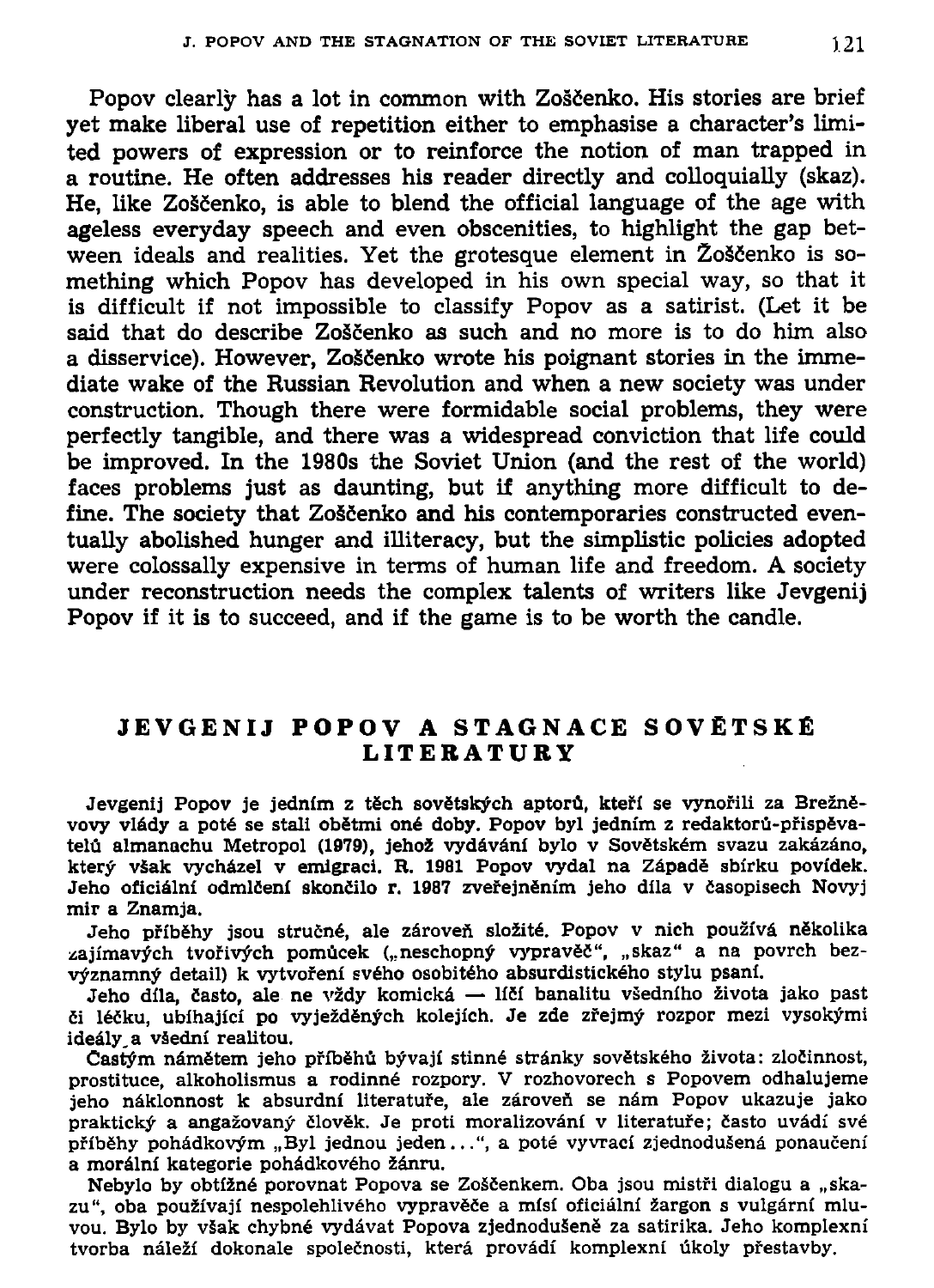Popov clearly has a lot in common with Zoščenko. His stories are brief **yet make liberal use of repetition either to emphasise a character's limited powers of expression or to reinforce the notion of man trapped in a routine. He often addresses his reader directly and colloquially (skaz).**  He, like Zoščenko, is able to blend the official language of the age with **ageless everyday speech and even obscenities, to highlight the gap bet**ween ideals and realities. Yet the grotesque element in Zoščenko is so**mething which Popov has developed in his own special way, so that it is difficult if not impossible to classify Popov as a satirist. (Let it be**  said that do describe Zoščenko as such and no more is to do him also **a disservice). However, ZoScenko wrote his poignant stories in the immediate wake of the Russian Revolution and when a new society was under construction. Though there were formidable social problems, they were perfectly tangible, and there was a widespread conviction that life could be improved. In the 1980s the Soviet Union (and the rest of the world) faces problems just as daunting, but if anything more difficult to de**fine. The society that Zoščenko and his contemporaries constructed even**tually abolished hunger and illiteracy, but the simplistic policies adopted were colossally expensive in terms of human life and freedom. A society under reconstruction needs the complex talents of writers like Jevgenij Popov if it is to succeed, and if the game is to be worth the candle.** 

## **JEVGENI J POPO V A STAGNAC E SOVETSK E LITERATUR Y**

Jevgenij Popov je jedním z těch sovětských aptorů, kteří se vynořili za Brežně**vovy vlady a pote se stall obetmi one doby. Popov byl jednim z redaktoru-pfispevatelu almanachu Metropol (1979), jeho2 vydavanf bylo v Sovetskem svazu zakazano, ktery vsak vychazel v emlgraci. R. 1981 Popov vydal na Zapade sbirku povidek. Jeho oficialnf odmlcenl skoncilo r. 1987 zvefejnenim jeho dila v casopisech Novyj mir a Znamja.** 

Jeho příběhy jsou stručné, ale zároveň složité. Popov v nich používá několika zajímavých tvořivých pomůcek ("neschopný vypravěč", "skaz" a na povrch bez**vyznamny detail) k vytvofeni sveho osobiteho absurdistickeho stylu psani.** 

Jeho díla, často, ale ne vždy komická — líčí banalitu všedního života jako past **ci lecku, ublhajici po vyjezdenych kolejich. Je zde zfejmy rozpor mezi vysokymi**  ideály a všední realitou.

Castým námětem jeho příběhů bývají stinné stránky sovětského života: zločinnost, **prostituce, alkoholismus a rodinn6 rozpory. V rozhovorech s Popovem odhalujeme jeho naklonnost k absurdni literatufe, ale zaroveft se nam Popov ukazuje jako praktický a angažovaný člověk. Je proti moralizování v literatuře; často uvádí své pfibehy pohadkovym "Byl jednou jeden...", a pote vyvraci zjednodusena ponauceni**  a morální kategorie pohádkového žánru.

Nebylo by obtížné porovnat Popova se Zoščenkem. Oba jsou mistři dialogu a "skazu", oba používají nespolehlivého vypravěče a mísí oficiální žargon s vulgární mluvou. Bylo by však chybné vydávat Popova zjednodušeně za satirika. Jeho komplexní **tvorba nalezi dokonale spolecnosti, ktera provadi komplexni ukoly pfestavby.**